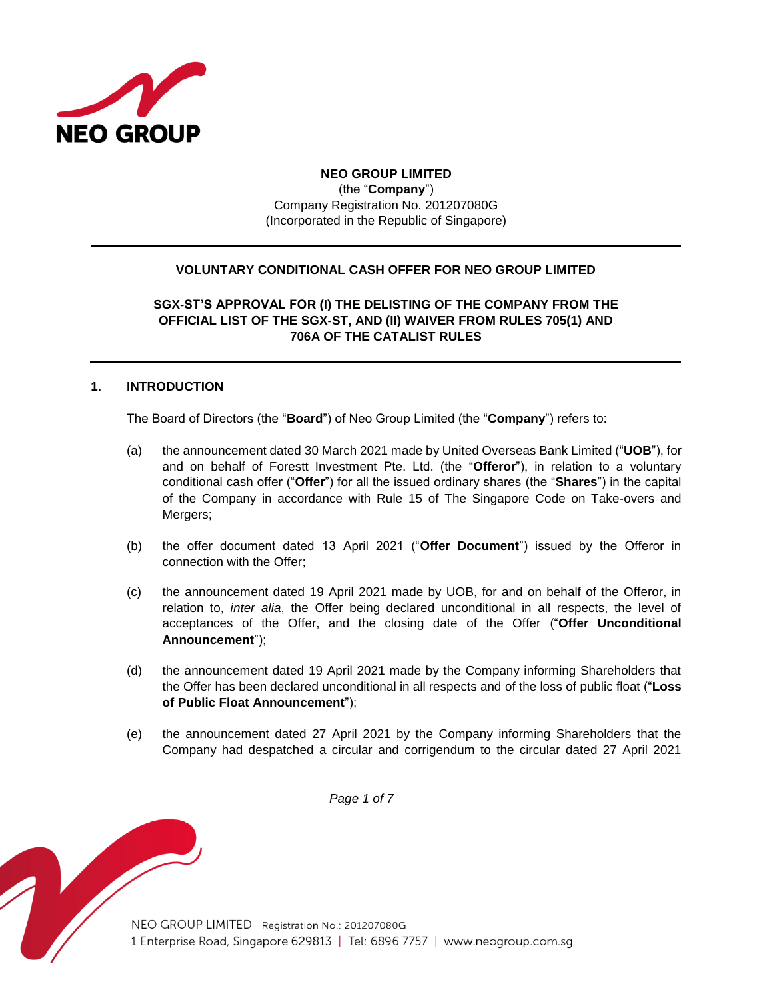

# **NEO GROUP LIMITED** (the "**Company**") Company Registration No. 201207080G (Incorporated in the Republic of Singapore)

## **VOLUNTARY CONDITIONAL CASH OFFER FOR NEO GROUP LIMITED**

**SGX-ST'S APPROVAL FOR (I) THE DELISTING OF THE COMPANY FROM THE OFFICIAL LIST OF THE SGX-ST, AND (II) WAIVER FROM RULES 705(1) AND 706A OF THE CATALIST RULES**

## **1. INTRODUCTION**

The Board of Directors (the "**Board**") of Neo Group Limited (the "**Company**") refers to:

- (a) the announcement dated 30 March 2021 made by United Overseas Bank Limited ("**UOB**"), for and on behalf of Forestt Investment Pte. Ltd. (the "**Offeror**"), in relation to a voluntary conditional cash offer ("**Offer**") for all the issued ordinary shares (the "**Shares**") in the capital of the Company in accordance with Rule 15 of The Singapore Code on Take-overs and Mergers;
- (b) the offer document dated 13 April 2021 ("**Offer Document**") issued by the Offeror in connection with the Offer;
- (c) the announcement dated 19 April 2021 made by UOB, for and on behalf of the Offeror, in relation to, *inter alia*, the Offer being declared unconditional in all respects, the level of acceptances of the Offer, and the closing date of the Offer ("**Offer Unconditional Announcement**");
- (d) the announcement dated 19 April 2021 made by the Company informing Shareholders that the Offer has been declared unconditional in all respects and of the loss of public float ("**Loss of Public Float Announcement**");
- (e) the announcement dated 27 April 2021 by the Company informing Shareholders that the Company had despatched a circular and corrigendum to the circular dated 27 April 2021

*Page 1 of 7*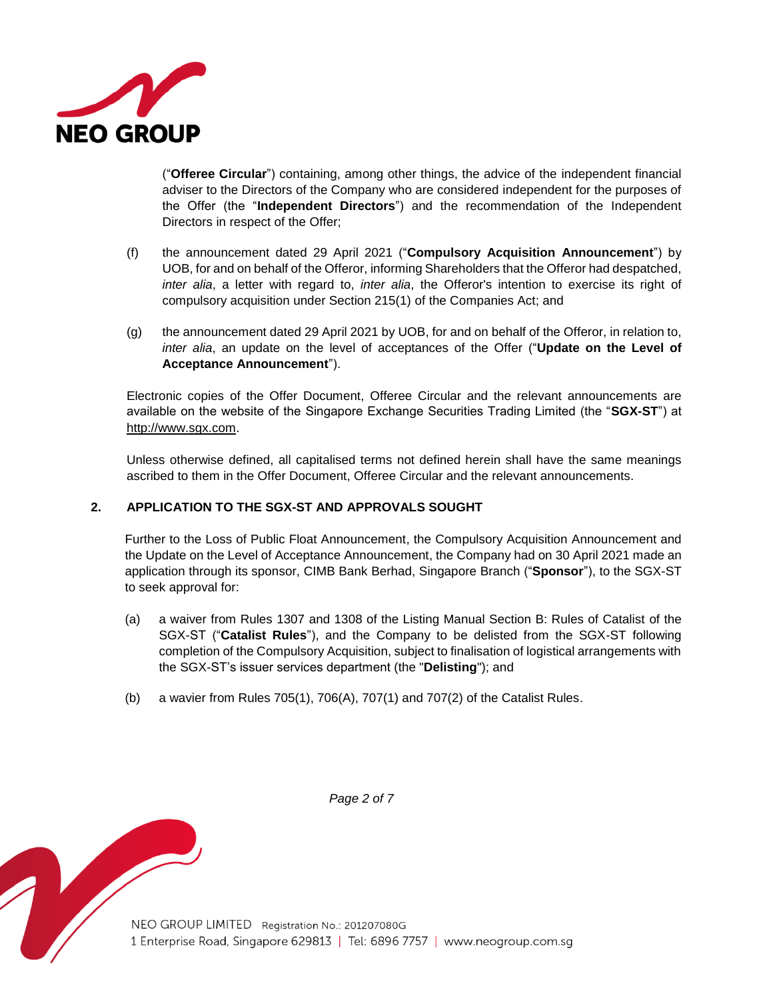

("**Offeree Circular**") containing, among other things, the advice of the independent financial adviser to the Directors of the Company who are considered independent for the purposes of the Offer (the "**Independent Directors**") and the recommendation of the Independent Directors in respect of the Offer;

- (f) the announcement dated 29 April 2021 ("**Compulsory Acquisition Announcement**") by UOB, for and on behalf of the Offeror, informing Shareholders that the Offeror had despatched, *inter alia*, a letter with regard to, *inter alia*, the Offeror's intention to exercise its right of compulsory acquisition under Section 215(1) of the Companies Act; and
- (g) the announcement dated 29 April 2021 by UOB, for and on behalf of the Offeror, in relation to, *inter alia*, an update on the level of acceptances of the Offer ("**Update on the Level of Acceptance Announcement**").

Electronic copies of the Offer Document, Offeree Circular and the relevant announcements are available on the website of the Singapore Exchange Securities Trading Limited (the "**SGX-ST**") at http://www.sgx.com.

Unless otherwise defined, all capitalised terms not defined herein shall have the same meanings ascribed to them in the Offer Document, Offeree Circular and the relevant announcements.

## **2. APPLICATION TO THE SGX-ST AND APPROVALS SOUGHT**

Further to the Loss of Public Float Announcement, the Compulsory Acquisition Announcement and the Update on the Level of Acceptance Announcement, the Company had on 30 April 2021 made an application through its sponsor, CIMB Bank Berhad, Singapore Branch ("**Sponsor**"), to the SGX-ST to seek approval for:

- (a) a waiver from Rules 1307 and 1308 of the Listing Manual Section B: Rules of Catalist of the SGX-ST ("**Catalist Rules**"), and the Company to be delisted from the SGX-ST following completion of the Compulsory Acquisition, subject to finalisation of logistical arrangements with the SGX-ST's issuer services department (the "**Delisting**"); and
- (b) a wavier from Rules 705(1), 706(A), 707(1) and 707(2) of the Catalist Rules.



*Page 2 of 7*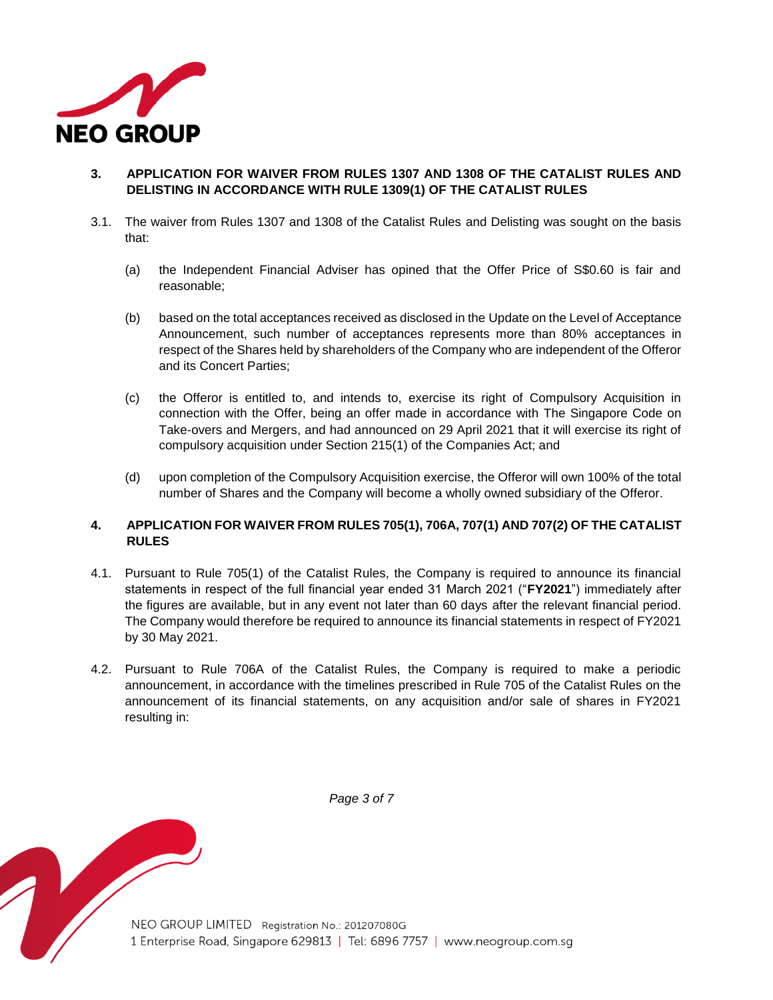

- **3. APPLICATION FOR WAIVER FROM RULES 1307 AND 1308 OF THE CATALIST RULES AND DELISTING IN ACCORDANCE WITH RULE 1309(1) OF THE CATALIST RULES**
- 3.1. The waiver from Rules 1307 and 1308 of the Catalist Rules and Delisting was sought on the basis that:
	- (a) the Independent Financial Adviser has opined that the Offer Price of S\$0.60 is fair and reasonable;
	- (b) based on the total acceptances received as disclosed in the Update on the Level of Acceptance Announcement, such number of acceptances represents more than 80% acceptances in respect of the Shares held by shareholders of the Company who are independent of the Offeror and its Concert Parties;
	- (c) the Offeror is entitled to, and intends to, exercise its right of Compulsory Acquisition in connection with the Offer, being an offer made in accordance with The Singapore Code on Take-overs and Mergers, and had announced on 29 April 2021 that it will exercise its right of compulsory acquisition under Section 215(1) of the Companies Act; and
	- (d) upon completion of the Compulsory Acquisition exercise, the Offeror will own 100% of the total number of Shares and the Company will become a wholly owned subsidiary of the Offeror.

## **4. APPLICATION FOR WAIVER FROM RULES 705(1), 706A, 707(1) AND 707(2) OF THE CATALIST RULES**

- 4.1. Pursuant to Rule 705(1) of the Catalist Rules, the Company is required to announce its financial statements in respect of the full financial year ended 31 March 2021 ("**FY2021**") immediately after the figures are available, but in any event not later than 60 days after the relevant financial period. The Company would therefore be required to announce its financial statements in respect of FY2021 by 30 May 2021.
- 4.2. Pursuant to Rule 706A of the Catalist Rules, the Company is required to make a periodic announcement, in accordance with the timelines prescribed in Rule 705 of the Catalist Rules on the announcement of its financial statements, on any acquisition and/or sale of shares in FY2021 resulting in:



*Page 3 of 7*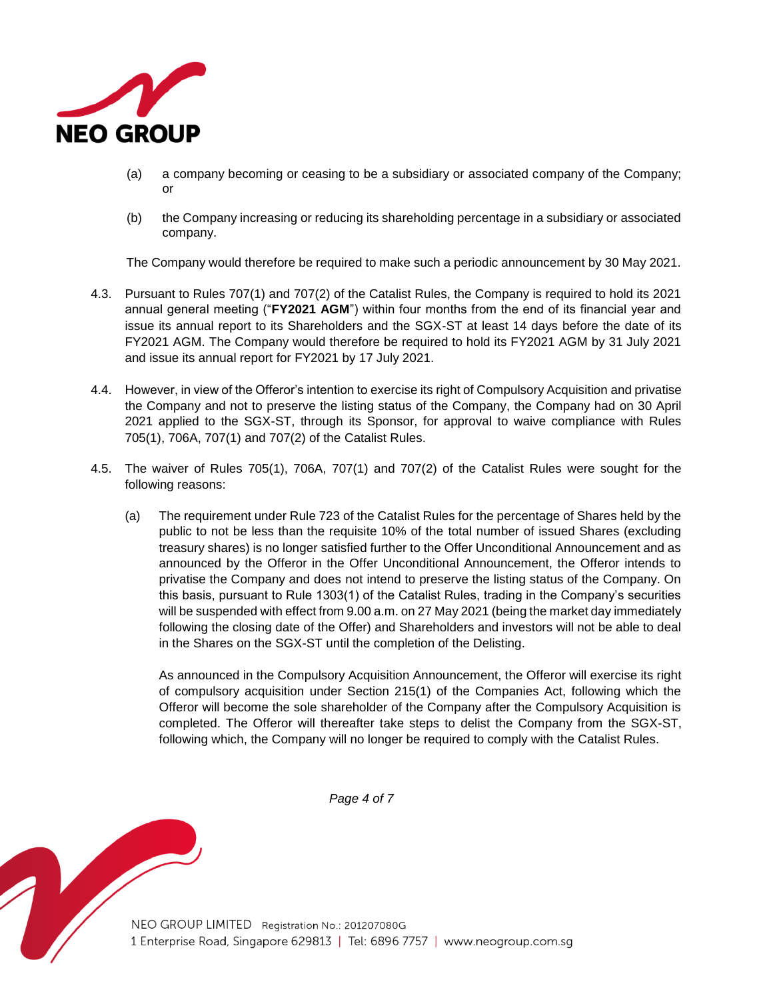

- (a) a company becoming or ceasing to be a subsidiary or associated company of the Company; or
- (b) the Company increasing or reducing its shareholding percentage in a subsidiary or associated company.

The Company would therefore be required to make such a periodic announcement by 30 May 2021.

- 4.3. Pursuant to Rules 707(1) and 707(2) of the Catalist Rules, the Company is required to hold its 2021 annual general meeting ("**FY2021 AGM**") within four months from the end of its financial year and issue its annual report to its Shareholders and the SGX-ST at least 14 days before the date of its FY2021 AGM. The Company would therefore be required to hold its FY2021 AGM by 31 July 2021 and issue its annual report for FY2021 by 17 July 2021.
- 4.4. However, in view of the Offeror's intention to exercise its right of Compulsory Acquisition and privatise the Company and not to preserve the listing status of the Company, the Company had on 30 April 2021 applied to the SGX-ST, through its Sponsor, for approval to waive compliance with Rules 705(1), 706A, 707(1) and 707(2) of the Catalist Rules.
- 4.5. The waiver of Rules 705(1), 706A, 707(1) and 707(2) of the Catalist Rules were sought for the following reasons:
	- (a) The requirement under Rule 723 of the Catalist Rules for the percentage of Shares held by the public to not be less than the requisite 10% of the total number of issued Shares (excluding treasury shares) is no longer satisfied further to the Offer Unconditional Announcement and as announced by the Offeror in the Offer Unconditional Announcement, the Offeror intends to privatise the Company and does not intend to preserve the listing status of the Company. On this basis, pursuant to Rule 1303(1) of the Catalist Rules, trading in the Company's securities will be suspended with effect from 9.00 a.m. on 27 May 2021 (being the market day immediately following the closing date of the Offer) and Shareholders and investors will not be able to deal in the Shares on the SGX-ST until the completion of the Delisting.

As announced in the Compulsory Acquisition Announcement, the Offeror will exercise its right of compulsory acquisition under Section 215(1) of the Companies Act, following which the Offeror will become the sole shareholder of the Company after the Compulsory Acquisition is completed. The Offeror will thereafter take steps to delist the Company from the SGX-ST, following which, the Company will no longer be required to comply with the Catalist Rules.

*Page 4 of 7*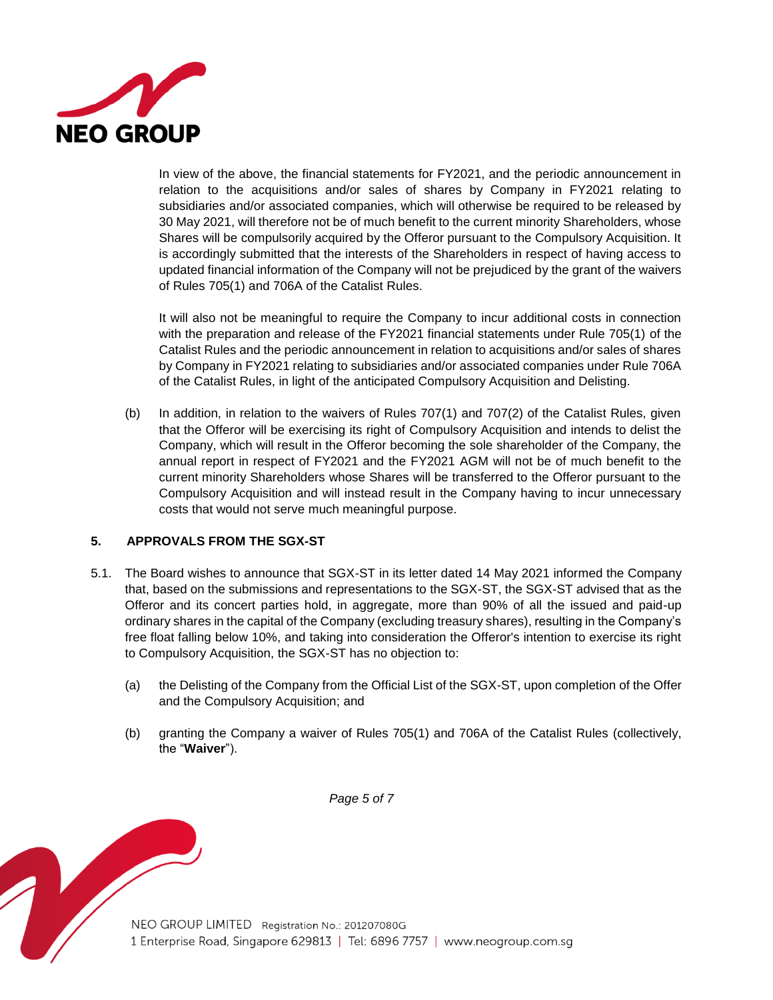

In view of the above, the financial statements for FY2021, and the periodic announcement in relation to the acquisitions and/or sales of shares by Company in FY2021 relating to subsidiaries and/or associated companies, which will otherwise be required to be released by 30 May 2021, will therefore not be of much benefit to the current minority Shareholders, whose Shares will be compulsorily acquired by the Offeror pursuant to the Compulsory Acquisition. It is accordingly submitted that the interests of the Shareholders in respect of having access to updated financial information of the Company will not be prejudiced by the grant of the waivers of Rules 705(1) and 706A of the Catalist Rules.

It will also not be meaningful to require the Company to incur additional costs in connection with the preparation and release of the FY2021 financial statements under Rule 705(1) of the Catalist Rules and the periodic announcement in relation to acquisitions and/or sales of shares by Company in FY2021 relating to subsidiaries and/or associated companies under Rule 706A of the Catalist Rules, in light of the anticipated Compulsory Acquisition and Delisting.

(b) In addition, in relation to the waivers of Rules 707(1) and 707(2) of the Catalist Rules, given that the Offeror will be exercising its right of Compulsory Acquisition and intends to delist the Company, which will result in the Offeror becoming the sole shareholder of the Company, the annual report in respect of FY2021 and the FY2021 AGM will not be of much benefit to the current minority Shareholders whose Shares will be transferred to the Offeror pursuant to the Compulsory Acquisition and will instead result in the Company having to incur unnecessary costs that would not serve much meaningful purpose.

## **5. APPROVALS FROM THE SGX-ST**

- 5.1. The Board wishes to announce that SGX-ST in its letter dated 14 May 2021 informed the Company that, based on the submissions and representations to the SGX-ST, the SGX-ST advised that as the Offeror and its concert parties hold, in aggregate, more than 90% of all the issued and paid-up ordinary shares in the capital of the Company (excluding treasury shares), resulting in the Company's free float falling below 10%, and taking into consideration the Offeror's intention to exercise its right to Compulsory Acquisition, the SGX-ST has no objection to:
	- (a) the Delisting of the Company from the Official List of the SGX-ST, upon completion of the Offer and the Compulsory Acquisition; and
	- (b) granting the Company a waiver of Rules 705(1) and 706A of the Catalist Rules (collectively, the "**Waiver**").

*Page 5 of 7*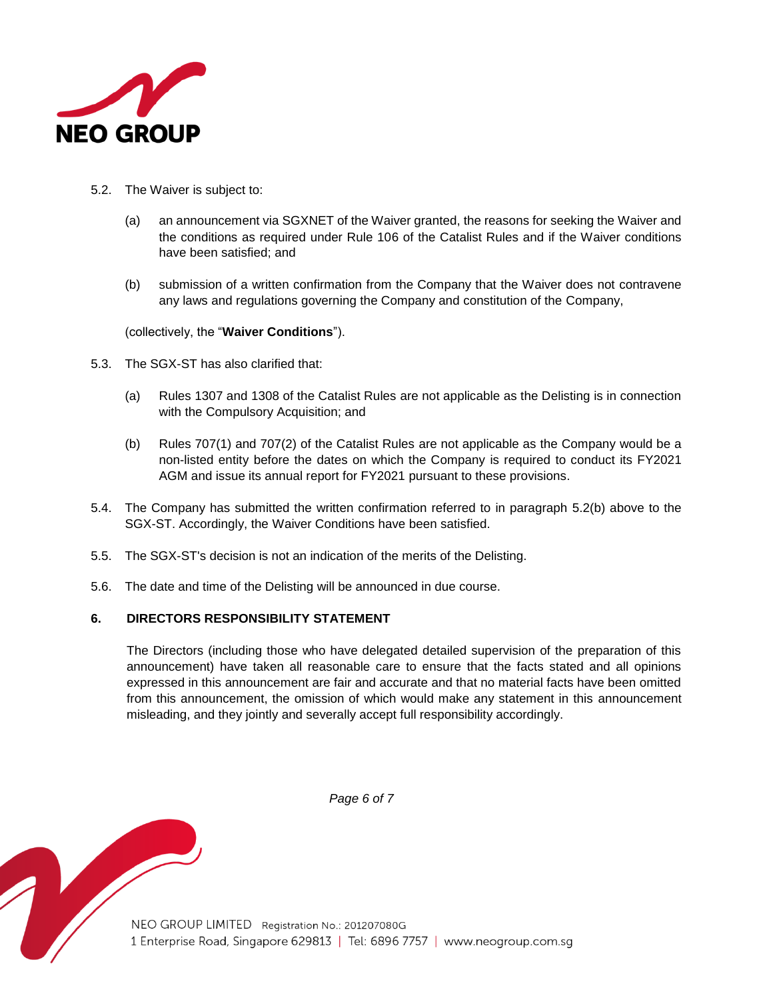

- <span id="page-5-0"></span>5.2. The Waiver is subject to:
	- (a) an announcement via SGXNET of the Waiver granted, the reasons for seeking the Waiver and the conditions as required under Rule 106 of the Catalist Rules and if the Waiver conditions have been satisfied; and
	- (b) submission of a written confirmation from the Company that the Waiver does not contravene any laws and regulations governing the Company and constitution of the Company,

(collectively, the "**Waiver Conditions**").

- 5.3. The SGX-ST has also clarified that:
	- (a) Rules 1307 and 1308 of the Catalist Rules are not applicable as the Delisting is in connection with the Compulsory Acquisition; and
	- (b) Rules 707(1) and 707(2) of the Catalist Rules are not applicable as the Company would be a non-listed entity before the dates on which the Company is required to conduct its FY2021 AGM and issue its annual report for FY2021 pursuant to these provisions.
- 5.4. The Company has submitted the written confirmation referred to in paragraph [5.2\(b\)](#page-5-0) above to the SGX-ST. Accordingly, the Waiver Conditions have been satisfied.
- 5.5. The SGX-ST's decision is not an indication of the merits of the Delisting.
- 5.6. The date and time of the Delisting will be announced in due course.

## **6. DIRECTORS RESPONSIBILITY STATEMENT**

The Directors (including those who have delegated detailed supervision of the preparation of this announcement) have taken all reasonable care to ensure that the facts stated and all opinions expressed in this announcement are fair and accurate and that no material facts have been omitted from this announcement, the omission of which would make any statement in this announcement misleading, and they jointly and severally accept full responsibility accordingly.



*Page 6 of 7*